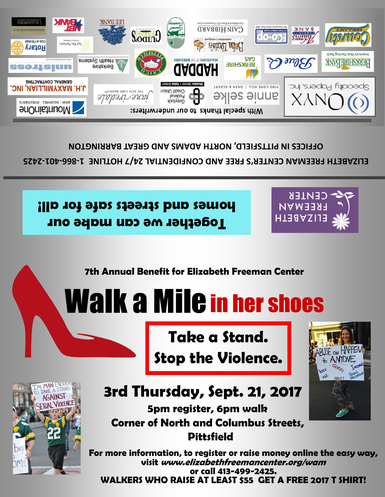

## **3rd Thursday, Sept. 21, 2017**

**5pm register, 6pm walk** 

**Pittsfield**

**Stop the Violence.**







**For more information, to register or raise money online the easy way, visit www.elizabethfreemancenter.org/wam or call 413-499-2425. WALKERS WHO RAISE AT LEAST \$55 GET A FREE 2017 T SHIRT!**



## Walk a Mile in her shoes

**7th Annual Benefit for Elizabeth Freeman Center**

**Together we can make our homes and streets safe for all!**



ELIZABETH FREEMAN CENTER'S FREE AND CONFIDENTIAL 24/7 HOTLINE 1-866-401-2425 **OFFICES IN PITTSFIELD, NORTH ADAMS AND GREAT BARRINGTON**